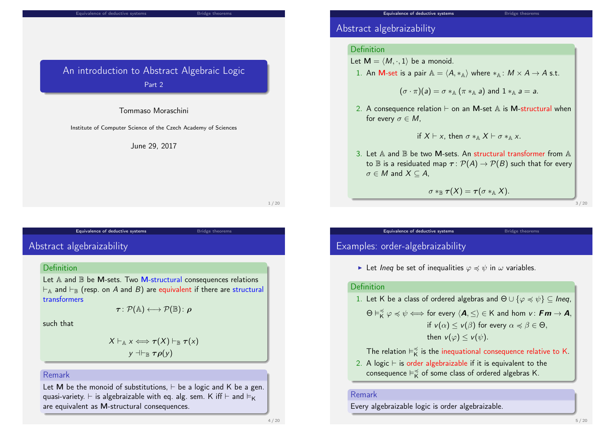#### Equivalence of deductive systems Bridge theorem

## An introduction to Abstract Algebraic Logic Part 2

#### Tommaso Moraschini

Institute of Computer Science of the Czech Academy of Sciences

#### June 29, 2017

1 / 20

### Equivalence of deductive systems and a set of the Bridge theorems

<span id="page-0-0"></span>Abstr[act algebraizability](#page-0-0)

### Definition

Let  $A$  and  $B$  be M-sets. Two M-structural consequences relations  $\vdash_A$  and  $\vdash_B$  (resp. on A and B) are equivalent if there are structural transformers

$$
\boldsymbol{\tau} \colon \mathcal{P}(\mathbb{A}) \longleftrightarrow \mathcal{P}(\mathbb{B}) \colon \boldsymbol{\rho}
$$

such that

$$
X \vdash_{\mathbb{A}} x \Longleftrightarrow \tau(X) \vdash_{\mathbb{B}} \tau(x)
$$
  

$$
y \dashv \vdash_{\mathbb{B}} \tau \rho(y)
$$

### Remark

Let M be the monoid of substitutions,  $\vdash$  be a logic and K be a gen. quasi-variety.  $\vdash$  is algebraizable with eq. alg. sem. K iff  $\vdash$  and  $\vDash$ <sub>K</sub> are equivalent as M-structural consequences.

### Abstract algebraizability

#### Definition

- Let  $M = \langle M, \cdot, 1 \rangle$  be a monoid.
- 1. An M-set is a pair  $A = \langle A, *_{A} \rangle$  where  $*_{A} : M \times A \rightarrow A$  s.t.

$$
(\sigma \cdot \pi)(a) = \sigma *_{\mathbb{A}} (\pi *_{\mathbb{A}} a)
$$
 and  $1 *_{\mathbb{A}} a = a$ .

2. A consequence relation  $\vdash$  on an M-set  $\mathbb A$  is M-structural when for every  $\sigma \in M$ ,

if 
$$
X \vdash x
$$
, then  $\sigma *_{\mathbb{A}} X \vdash \sigma *_{\mathbb{A}} x$ .

3. Let A and  $\mathbb B$  be two M-sets. An structural transformer from A to  $\mathbb B$  is a residuated map  $\tau : \mathcal P(A) \to \mathcal P(B)$  such that for every  $\sigma \in M$  and  $X \subseteq A$ ,

 $\sigma *_{\mathbb{R}} \tau(X) = \tau (\sigma *_{\mathbb{A}} X).$ 

Equivalence of deductive systems and a set of the Bridge theorems

3 / 20

# Examples: order-algebraizability

In Let Ineq be set of inequalities  $\varphi \preccurlyeq \psi$  in  $\omega$  variables.

#### Definition

1. Let K be a class of ordered algebras and  $\Theta \cup {\varphi \preccurlyeq \psi} \subset In$ eg,  $\Theta \vDash_{\mathsf{K}}^{\preccurlyeq} \varphi \preccurlyeq \psi \Longleftrightarrow$  for every  $\langle \mathsf{A}, \leq \rangle \in \mathsf{K}$  and hom  $\mathsf{v} \colon \mathsf{Fm} \to \mathsf{A},$ if  $v(\alpha) < v(\beta)$  for every  $\alpha \preccurlyeq \beta \in \Theta$ . then  $v(\varphi) < v(\psi)$ .

The relation  $\vDash^{\preccurlyeq}_{\mathsf{K}}$  $\breve{\breve{\mathsf{k}}}$  is the inequational consequence relative to K.

2. A logic  $\vdash$  is order algebraizable if it is equivalent to the  $\overline{\phantom{a}}$ consequence  $\vDash^{\preccurlyeq}_{\mathsf{K}}$  $\underset{\mathsf{K}}{\preccurlyeq}$  of some class of ordered algebras K.

#### Remark

Every algebraizable logic is order algebraizable.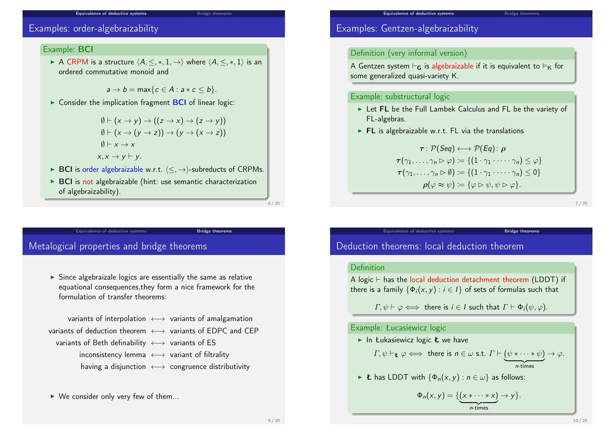#### Equivalence of deductive systems Bridge theorems

### Examples: order-algebraizability

#### Example: BCI

A CRPM is a structure  $\langle A, \leq, *, 1, \rightarrow \rangle$  where  $\langle A, \leq, *, 1 \rangle$  is an ordered commutative monoid and

 $a \rightarrow b = \max\{c \in A : a * c \leq b\}.$ 

 $\triangleright$  Consider the implication fragment **BCI** of linear logic:

 $\emptyset \vdash (x \to y) \to ((z \to x) \to (z \to y))$  $\emptyset \vdash (x \to (y \to z)) \to (y \to (x \to z))$  $\emptyset \vdash x \rightarrow x$  $x, x \rightarrow y \vdash y$ .

- **► BCI** is order algebraizable w.r.t.  $\langle \langle , \rangle \rangle$ -subreducts of CRPMs.
- $\triangleright$  BCI is not algebraizable (hint: use semantic characterization of algebraizability).

Equivalence of deductive systems Bridge theorems

6 / 20

### <span id="page-1-0"></span>Metal[ogical properties a](#page-0-0)nd bridge t[heorems](#page-1-0)

 $\triangleright$  Since algebraizale logics are essentially the same as relative equational consequences,they form a nice framework for the formulation of transfer theorems:

variants of interpolation  $\longleftrightarrow$  variants of amalgamation variants of deduction theorem < → variants of EDPC and CEP variants of Beth definability  $\longleftrightarrow$  variants of ES inconsistency lemma  $\longleftrightarrow$  variant of filtrality having a disjunction ←→ congruence distributivity

 $\triangleright$  We consider only very few of them...

### Examples: Gentzen-algebraizability

### Definition (very informal version)

A Gentzen system  $\vdash_G$  is algebraizable if it is equivalent to  $\vdash_K$  for some generalized quasi-variety K.

#### Example: substructural logic

- External Let FL be the Full Lambek Calculus and FL be the variety of FL-algebras.
- $\triangleright$  FL is algebraizable w.r.t. FL via the translations

$$
\tau: \mathcal{P}(Seq) \longleftrightarrow \mathcal{P}(Eq): \rho
$$
  
\n
$$
\tau(\gamma_1, \ldots, \gamma_n \triangleright \varphi) := \{ (1 \cdot \gamma_1 \cdot \cdots \cdot \gamma_n) \le \varphi \}
$$
  
\n
$$
\tau(\gamma_1, \ldots, \gamma_n \triangleright \emptyset) := \{ (1 \cdot \gamma_1 \cdot \cdots \cdot \gamma_n) \le 0 \}
$$
  
\n
$$
\rho(\varphi \approx \psi) := \{ \varphi \triangleright \psi, \psi \triangleright \varphi \}.
$$

7 / 20

# Deduction theorems: local deduction theorem

#### Definition

A logic  $\vdash$  has the local deduction detachment theorem (LDDT) if there is a family  $\{\Phi_i(x, y) : i \in I\}$  of sets of formulas such that

Equivalence of deductive systems **Bridge theorems** 

 $\Gamma, \psi \vdash \varphi \Longleftrightarrow$  there is  $i \in I$  such that  $\Gamma \vdash \Phi_i(\psi, \varphi)$ .

#### Example: Łucasiewicz logic

In Łukasiewicz logic  $k$  we have

 $\varGamma,\psi \vdash_{\mathbf{L}} \varphi \Longleftrightarrow\,$  there is  $n \in \omega$  s.t.  $\varGamma \vdash (\psi * \dots * \psi) \rightarrow \varphi.$  $\overline{n}$ -times n-times

E has LDDT with  $\{\Phi_n(x, y) : n \in \omega\}$  as follows:

$$
\Phi_n(x, y) = \{ (x * \cdots * x) \to y \}.
$$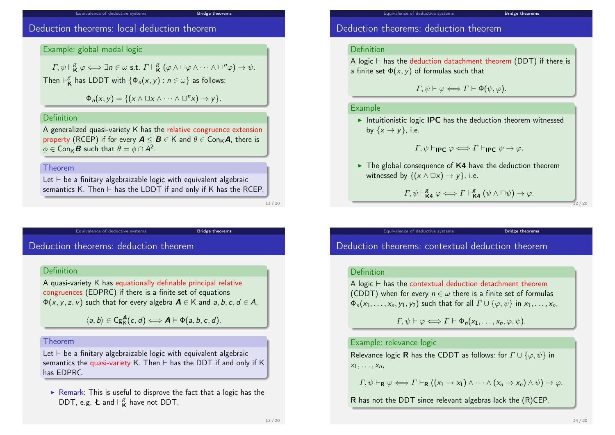#### Equivalence of deductive systems Bridge theorems

### Deduction theorems: local deduction theorem

#### Example: global modal logic

 $\varGamma,\psi\vdash^{\mathcal{B}}_{\mathsf{K}}\varphi\Longleftrightarrow\exists\mathsf{n}\in\omega$  s.t.  $\varGamma\vdash^{\mathcal{B}}_{\mathsf{K}}$  $K^g$   $(\varphi \wedge \Box \varphi \wedge \cdots \wedge \Box^n \varphi) \rightarrow \psi.$ Then  $\vdash_{\mathsf{K}}^{\mathcal{B}}$  $\kappa$  has LDDT with  $\{\Phi_n(x,y) : n \in \omega\}$  as follows:

 $\Phi_n(x, y) = \{ (x \land \Box x \land \cdots \land \Box^n x) \to y \}.$ 

### **Definition**

A generalized quasi-variety K has the relative congruence extension property (RCEP) if for every  $A \leq B \in K$  and  $\theta \in Con_{K}A$ , there is  $\phi\in\mathsf{Con}_{\mathsf{K}}\boldsymbol{B}$  such that  $\theta=\phi\cap\mathsf{A}^2.$ 

#### Theorem

Let  $\vdash$  be a finitary algebraizable logic with equivalent algebraic semantics K. Then  $\vdash$  has the LDDT if and only if K has the RCEP.

Equivalence of deductive systems Bridge theorems

11 / 20

### Dedu[ction theorems: de](#page-0-0)duction the[orem](#page-1-0)

### **Definition**

A quasi-variety K has equationally definable principal relative congruences (EDPRC) if there is a finite set of equations  $\Phi(x, y, z, v)$  such that for every algebra  $A \in K$  and a, b, c,  $d \in A$ ,

 $\langle a, b \rangle \in \mathrm{Cg}^{\mathbf{A}}_{\mathsf{K}}(c, d) \Longleftrightarrow \mathbf{A} \models \Phi(a, b, c, d).$ 

#### Theorem

Let  $\vdash$  be a finitary algebraizable logic with equivalent algebraic semantics the quasi-variety K. Then  $\vdash$  has the DDT if and only if K has EDPRC.

 $\triangleright$  Remark: This is useful to disprove the fact that a logic has the DDT, e.g. **Ł** and  $\vdash^g_{\mathbf{k}}$  $K$  have not DDT.

### Deduction theorems: deduction theorem

#### Definition

A logic  $\vdash$  has the deduction datachment theorem (DDT) if there is a finite set  $\Phi(x, y)$  of formulas such that

 $\Gamma, \psi \vdash \varphi \Longleftrightarrow \Gamma \vdash \Phi(\psi, \varphi).$ 

#### Example

Intuitionistic logic IPC has the deduction theorem witnessed by  $\{x \rightarrow y\}$ , i.e.

$$
\Gamma, \psi \vdash_{\mathsf{IPC}} \varphi \Longleftrightarrow \Gamma \vdash_{\mathsf{IPC}} \psi \to \varphi.
$$

 $\triangleright$  The global consequence of K4 have the deduction theorem witnessed by  $\{(x \land \Box x) \rightarrow y\}$ , i.e.

Equivalence of deductive systems **Bridge theorems** 

$$
\varGamma,\psi\vdash^{\mathcal{B}}_{\mathsf{K4}}\varphi\Longleftrightarrow\varGamma\vdash^{\mathcal{B}}_{\mathsf{K4}}(\psi\wedge\Box\psi)\rightarrow\varphi.
$$

 $12/20$ 

Deduction theorems: contextual deduction theorem

### Definition

A logic  $\vdash$  has the contextual deduction detachment theorem (CDDT) when for every  $n \in \omega$  there is a finite set of formulas  $\Phi_n(x_1,\ldots,x_n,y_1,y_2)$  such that for all  $\Gamma\cup\{\varphi,\psi\}$  in  $x_1,\ldots,x_n$ ,

 $\Gamma, \psi \vdash \varphi \Longleftrightarrow \Gamma \vdash \Phi_n(x_1, \ldots, x_n, \varphi, \psi).$ 

### Example: relevance logic

Relevance logic R has the CDDT as follows: for  $\Gamma \cup {\varphi, \psi}$  in  $x_1, \ldots, x_n$ 

 $\Gamma, \psi \vdash_{\mathbf{R}} \varphi \Longleftrightarrow \Gamma \vdash_{\mathbf{R}} ((x_1 \rightarrow x_1) \wedge \cdots \wedge (x_n \rightarrow x_n) \wedge \psi) \rightarrow \varphi.$ 

R has not the DDT since relevant algebras lack the (R)CEP.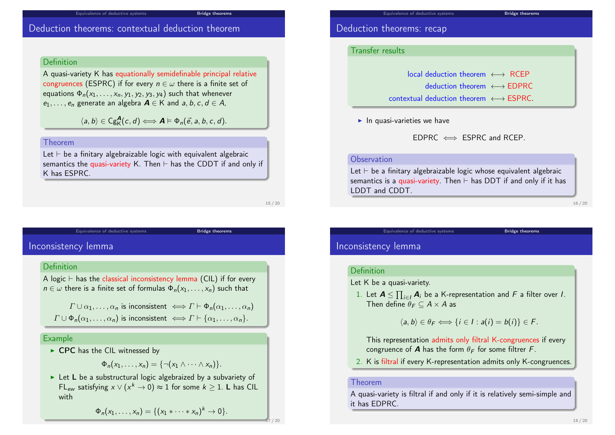#### Equivalence of deductive systems Bridge theorems

### Deduction theorems: contextual deduction theorem

### Definition

A quasi-variety K has equationally semidefinable principal relative congruences (ESPRC) if for every  $n \in \omega$  there is a finite set of equations  $\Phi_n(x_1, \ldots, x_n, y_1, y_2, y_3, y_4)$  such that whenever  $e_1, \ldots, e_n$  generate an algebra  $A \in K$  and  $a, b, c, d \in A$ ,

 $\langle a, b \rangle \in \mathrm{Cg}_{\mathsf{K}}^{\mathbf{A}}(c, d) \Longleftrightarrow \mathbf{A} \models \Phi_n(\vec{e}, a, b, c, d).$ 

#### Theorem

Let  $\vdash$  be a finitary algebraizable logic with equivalent algebraic semantics the quasi-variety K. Then  $\vdash$  has the CDDT if and only if K has ESPRC.

Equivalence of deductive systems **Bridge** theorems

15 / 20

# Incon[sistency lemma](#page-0-0)

#### Definition

A logic  $\vdash$  has the classical inconsistency lemma (CIL) if for every  $n \in \omega$  there is a finite set of formulas  $\Phi_n(x_1, \ldots, x_n)$  such that

 $\Gamma \cup \alpha_1, \ldots, \alpha_n$  is inconsistent  $\iff \Gamma \vdash \Phi_n(\alpha_1, \ldots, \alpha_n)$  $\Gamma \cup \Phi_n(\alpha_1, \ldots, \alpha_n)$  is inconsistent  $\iff \Gamma \vdash \{\alpha_1, \ldots, \alpha_n\}.$ 

### Example

 $\triangleright$  CPC has the CIL witnessed by

$$
\Phi_n(x_1,\ldots,x_n)=\{\neg(x_1\wedge\cdots\wedge x_n)\}.
$$

 $\triangleright$  Let L be a substructural logic algebraized by a subvariety of FL<sub>ew</sub> satisfying  $x \vee (x^k \to 0) \approx 1$  for some  $k \geq 1$ . L has CIL with

$$
\Phi_n(x_1,\ldots,x_n)=\{(x_1*\cdots*x_n)^k\to 0\}.
$$

### Deduction theorems: recap

#### Transfer results

local deduction theorem ←→ RCEP

- deduction theorem ←→ EDPRC
- $contextual deduction theorem \leftrightarrow FSPRC$
- $\blacktriangleright$  In quasi-varieties we have

 $EDPRC \iff ESPRC$  and RCEP.

### **Observation**

Let  $\vdash$  be a finitary algebraizable logic whose equivalent algebraic semantics is a quasi-variety. Then  $\vdash$  has DDT if and only if it has LDDT and CDDT.

Equivalence of deductive systems **Bridge theorems** 

16 / 20

### Inconsistency lemma

### Definition

- Let K be a quasi-variety.
- 1. Let  $\boldsymbol{A} \leq \prod_{i \in I} \boldsymbol{A}_i$  be a K-representation and F a filter over I. Then define  $\theta_F \subset A \times A$  as

$$
\langle a,b\rangle \in \theta_F \Longleftrightarrow \{i\in I : a(i)=b(i)\}\in F.
$$

This representation admits only filtral K-congruences if every congruence of **A** has the form  $\theta_F$  for some filtrer F.

2. K is filtral if every K-representation admits only K-congruences.

#### Theorem

A quasi-variety is filtral if and only if it is relatively semi-simple and it has EDPRC.